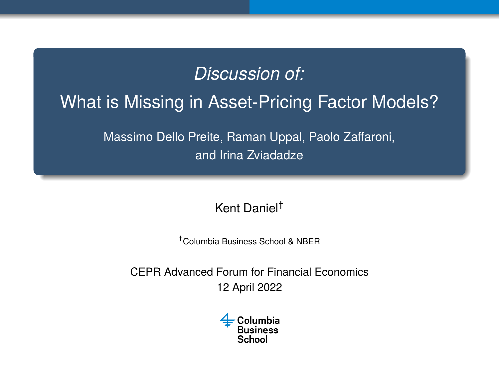# <span id="page-0-0"></span>*Discussion of:* What is Missing in Asset-Pricing Factor Models? Massimo Dello Preite, Raman Uppal, Paolo Zaffaroni,

and Irina Zviadadze

Kent Daniel†

†Columbia Business School & NBER

CEPR Advanced Forum for Financial Economics 12 April 2022

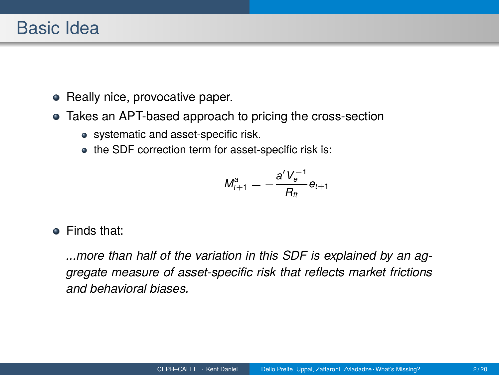- Really nice, provocative paper.
- Takes an APT-based approach to pricing the cross-section
	- systematic and asset-specific risk.
	- the SDF correction term for asset-specific risk is:

$$
M_{t+1}^a = -\frac{a'V_e^{-1}}{R_{tt}}e_{t+1}
$$

Finds that:

*...more than half of the variation in this SDF is explained by an aggregate measure of asset-specific risk that reflects market frictions and behavioral biases.*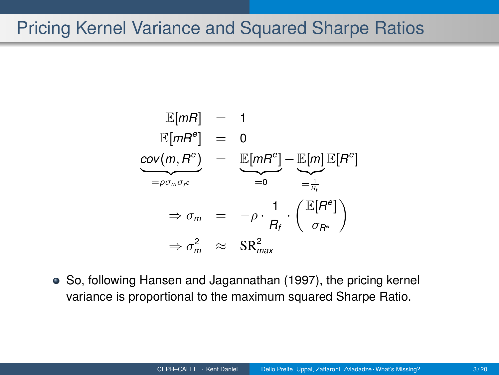#### Pricing Kernel Variance and Squared Sharpe Ratios

$$
\mathbb{E}[mR] = 1
$$
\n
$$
\mathbb{E}[mR^e] = 0
$$
\n
$$
\frac{\text{cov}(m, R^e)}{= \rho \sigma_m \sigma_r e} = \frac{\mathbb{E}[mR^e]}{=0} - \frac{\mathbb{E}[m]\mathbb{E}[R^e]}{= \frac{1}{R_f}}
$$
\n
$$
\Rightarrow \sigma_m = -\rho \cdot \frac{1}{R_f} \cdot \left(\frac{\mathbb{E}[R^e]}{\sigma_{R^e}}\right)
$$
\n
$$
\Rightarrow \sigma_m^2 \approx \text{SR}_{\text{max}}^2
$$

So, following [Hansen and Jagannathan \(1997\)](#page-19-0), the pricing kernel variance is proportional to the maximum squared Sharpe Ratio.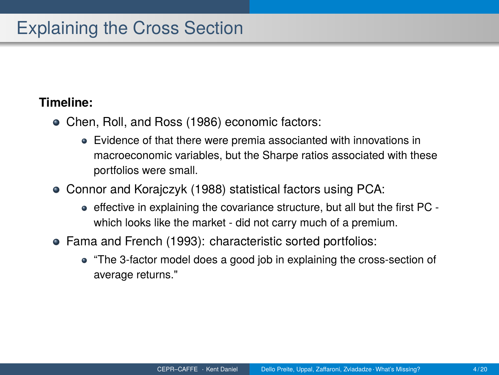#### Explaining the Cross Section

#### **Timeline:**

- [Chen, Roll, and Ross \(1986\)](#page-19-1) economic factors:
	- Evidence of that there were premia associanted with innovations in macroeconomic variables, but the Sharpe ratios associated with these portfolios were small.
- [Connor and Korajczyk \(1988\)](#page-19-2) statistical factors using PCA:
	- effective in explaining the covariance structure, but all but the first PC which looks like the market - did not carry much of a premium.
- [Fama and French \(1993\)](#page-19-3): characteristic sorted portfolios:
	- "The 3-factor model does a good job in explaining the cross-section of average returns."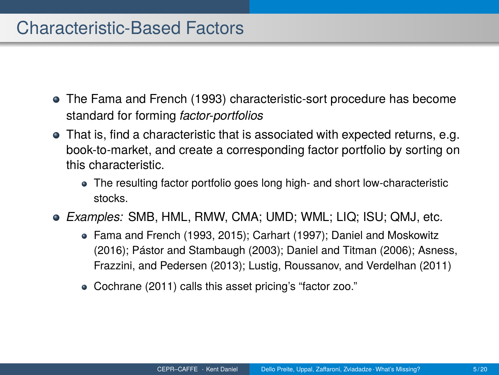#### Characteristic-Based Factors

- The [Fama and French \(1993\)](#page-19-3) characteristic-sort procedure has become standard for forming *factor-portfolios*
- That is, find a characteristic that is associated with expected returns, e.g. book-to-market, and create a corresponding factor portfolio by sorting on this characteristic.
	- The resulting factor portfolio goes long high- and short low-characteristic stocks.
- *Examples:* SMB, HML, RMW, CMA; UMD; WML; LIQ; ISU; QMJ, etc.
	- [Fama and French \(1993,](#page-19-3) [2015\)](#page-19-4); [Carhart \(1997\)](#page-19-5); [Daniel and Moskowitz](#page-19-6) [\(2016\)](#page-19-6); [Pástor and Stambaugh \(2003\)](#page-19-7); [Daniel and Titman \(2006\)](#page-19-8); [Asness,](#page-19-9) [Frazzini, and Pedersen \(2013\)](#page-19-9); [Lustig, Roussanov, and Verdelhan \(2011\)](#page-19-10)
	- [Cochrane \(2011\)](#page-19-11) calls this asset pricing's "factor zoo."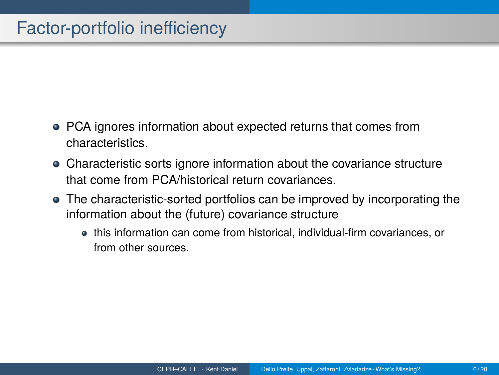### Factor-portfolio inefficiency

- PCA ignores information about expected returns that comes from characteristics.
- Characteristic sorts ignore information about the covariance structure that come from PCA/historical return covariances.
- The characteristic-sorted portfolios can be improved by incorporating the information about the (future) covariance structure
	- this information can come from historical, individual-firm covariances, or from other sources.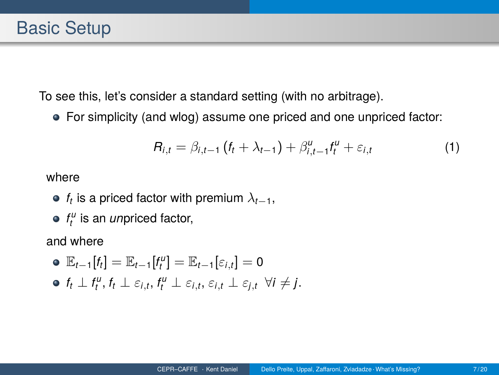To see this, let's consider a standard setting (with no arbitrage).

For simplicity (and wlog) assume one priced and one unpriced factor:

$$
R_{i,t} = \beta_{i,t-1} (f_t + \lambda_{t-1}) + \beta_{i,t-1}^u f_t^u + \varepsilon_{i,t}
$$
 (1)

where

- $f_t$  is a priced factor with premium  $\lambda_{t-1},$
- *f u t* is an *un*priced factor,

and where

• 
$$
\mathbb{E}_{t-1}[f_t] = \mathbb{E}_{t-1}[f_t^u] = \mathbb{E}_{t-1}[\varepsilon_{i,t}] = 0
$$

$$
\bullet \ \ f_t \perp f_t^u, f_t \perp \varepsilon_{i,t}, f_t^u \perp \varepsilon_{i,t}, \varepsilon_{i,t} \perp \varepsilon_{j,t} \ \forall i \neq j.
$$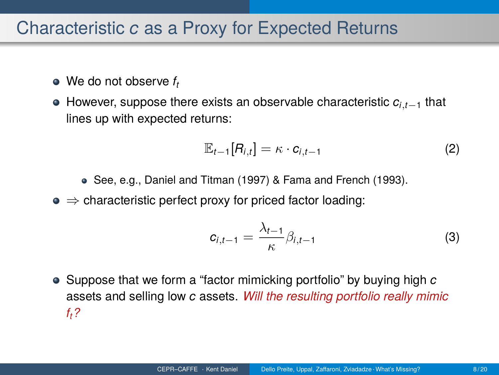#### Characteristic *c* as a Proxy for Expected Returns

- We do not observe  $f_t$
- However, suppose there exists an observable characteristic *ci*,*t*−<sup>1</sup> that lines up with expected returns:

$$
\mathbb{E}_{t-1}[R_{i,t}] = \kappa \cdot c_{i,t-1} \tag{2}
$$

- See, e.g., [Daniel and Titman \(1997\)](#page-19-12) & [Fama and French \(1993\)](#page-19-3).
- $\bullet \Rightarrow$  characteristic perfect proxy for priced factor loading:

$$
c_{i,t-1} = \frac{\lambda_{t-1}}{\kappa} \beta_{i,t-1}
$$
 (3)

Suppose that we form a "factor mimicking portfolio" by buying high *c* assets and selling low *c* assets. *Will the resulting portfolio really mimic ft?*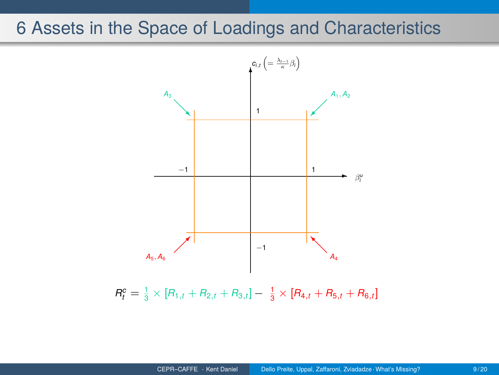#### 6 Assets in the Space of Loadings and Characteristics

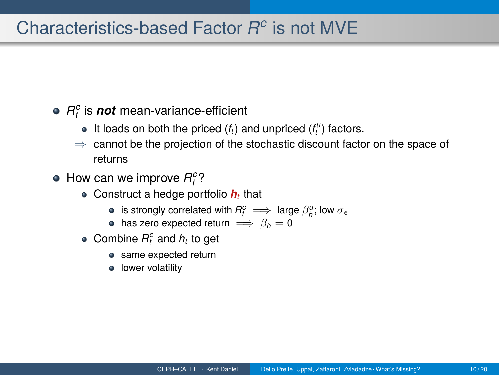### Characteristics-based Factor *R c* is not MVE

- $R_t^c$  is  $\boldsymbol{n}$ o $\boldsymbol{t}$  mean-variance-efficient
	- It loads on both the priced  $(f_t)$  and unpriced  $(f_t^u)$  factors.
	- $\Rightarrow$  cannot be the projection of the stochastic discount factor on the space of returns
- How can we improve  $R_t^c$ ?
	- Construct a hedge portfolio *h<sup>t</sup>* that
		- is strongly correlated with  $R_t^c \implies$  large  $\beta_h^u$ ; low  $\sigma_\epsilon$
		- has zero expected return  $\implies$   $\beta_h = 0$
	- Combine  $R_t^c$  and  $h_t$  to get
		- same expected return
		- lower volatility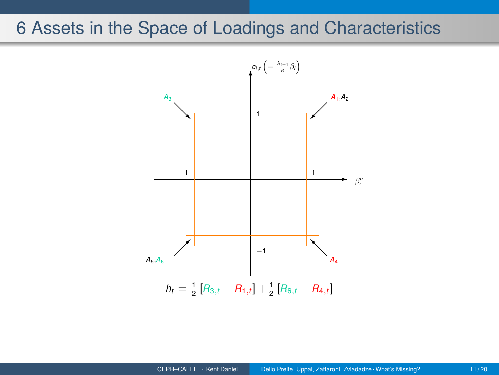#### 6 Assets in the Space of Loadings and Characteristics

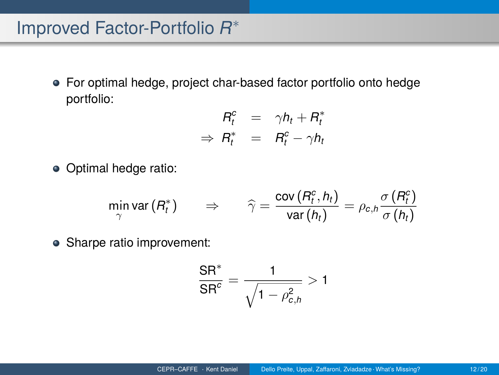## Improved Factor-Portfolio *R* ∗

For optimal hedge, project char-based factor portfolio onto hedge portfolio:

$$
R_t^c = \gamma h_t + R_t^*
$$
  
\n
$$
\Rightarrow R_t^* = R_t^c - \gamma h_t
$$

Optimal hedge ratio:

$$
\min_{\gamma} \text{var}(R_t^*) \qquad \Rightarrow \qquad \widehat{\gamma} = \frac{\text{cov}(R_t^c, h_t)}{\text{var}(h_t)} = \rho_{c,h} \frac{\sigma(R_t^c)}{\sigma(h_t)}
$$

• Sharpe ratio improvement:

$$
\frac{\textsf{SR}^*}{\textsf{SR}^c} = \frac{1}{\sqrt{1-\rho_{c,h}^2}} > 1
$$

 $\lambda = \lambda$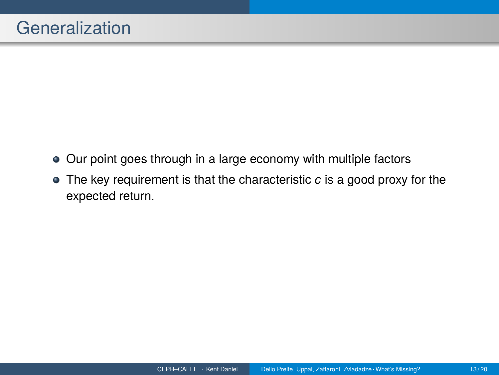- Our point goes through in a large economy with multiple factors
- The key requirement is that the characteristic *c* is a good proxy for the expected return.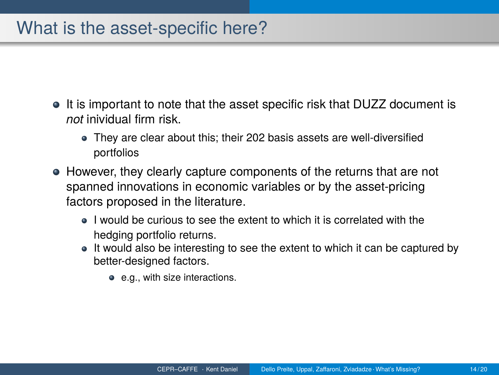#### What is the asset-specific here?

- It is important to note that the asset specific risk that DUZZ document is *not* inividual firm risk.
	- They are clear about this; their 202 basis assets are well-diversified portfolios
- However, they clearly capture components of the returns that are not spanned innovations in economic variables or by the asset-pricing factors proposed in the literature.
	- I would be curious to see the extent to which it is correlated with the hedging portfolio returns.
	- It would also be interesting to see the extent to which it can be captured by better-designed factors.
		- e.g., with size interactions.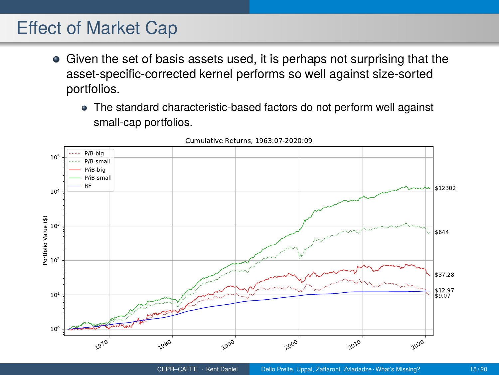#### Effect of Market Cap

- Given the set of basis assets used, it is perhaps not surprising that the asset-specific-corrected kernel performs so well against size-sorted portfolios.
	- The standard characteristic-based factors do not perform well against small-cap portfolios.



Cumulative Returns, 1963:07-2020:09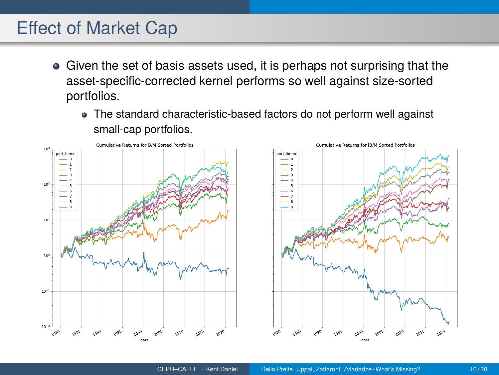#### Effect of Market Cap

- Given the set of basis assets used, it is perhaps not surprising that the asset-specific-corrected kernel performs so well against size-sorted portfolios.
	- The standard characteristic-based factors do not perform well against small-cap portfolios.



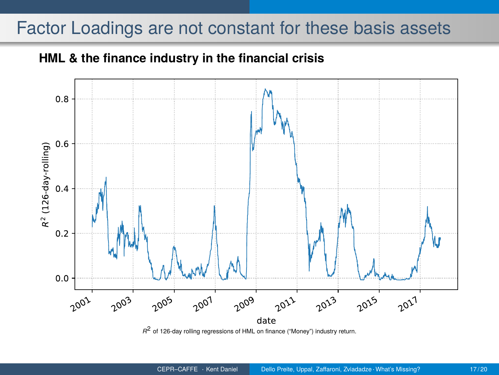#### Factor Loadings are not constant for these basis assets

#### **HML & the finance industry in the financial crisis**

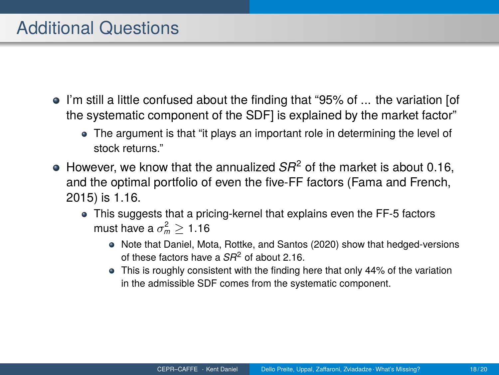- I'm still a little confused about the finding that "95% of ... the variation [of the systematic component of the SDF] is explained by the market factor"
	- The argument is that "it plays an important role in determining the level of stock returns."
- $\bullet$  However, we know that the annualized  $SR^2$  of the market is about 0.16, and the optimal portfolio of even the five-FF factors [\(Fama and French,](#page-19-4) [2015\)](#page-19-4) is 1.16.
	- This suggests that a pricing-kernel that explains even the FF-5 factors must have a  $\sigma_m^2 \geq 1.16$ 
		- Note that [Daniel, Mota, Rottke, and Santos \(2020\)](#page-19-13) show that hedged-versions of these factors have a *SR*<sup>2</sup> of about 2.16.
		- This is roughly consistent with the finding here that only 44% of the variation in the admissible SDF comes from the systematic component.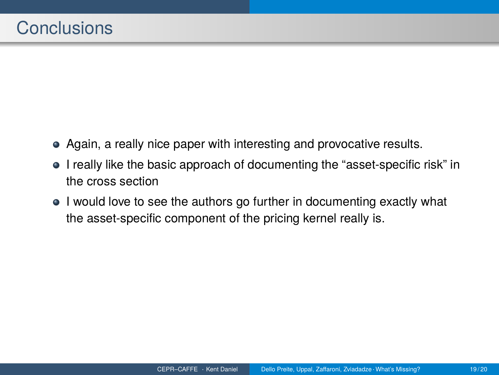- Again, a really nice paper with interesting and provocative results.
- I really like the basic approach of documenting the "asset-specific risk" in the cross section
- I would love to see the authors go further in documenting exactly what the asset-specific component of the pricing kernel really is.